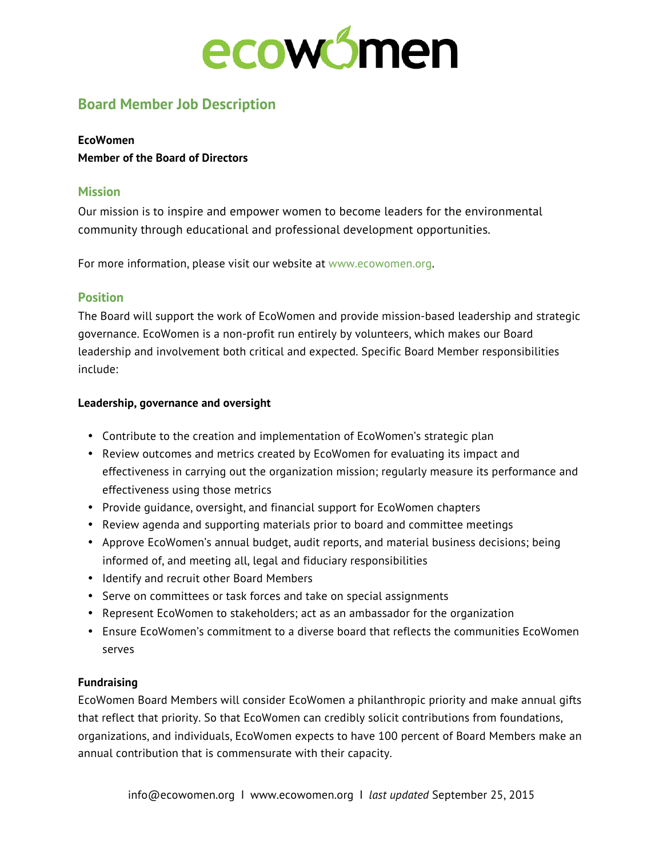

# **Board Member Job Description**

#### **EcoWomen**

**Member of the Board of Directors**

### **Mission**

Our mission is to inspire and empower women to become leaders for the environmental community through educational and professional development opportunities.

For more information, please visit our website at www.ecowomen.org.

## **Position**

The Board will support the work of EcoWomen and provide mission-based leadership and strategic governance. EcoWomen is a non-profit run entirely by volunteers, which makes our Board leadership and involvement both critical and expected. Specific Board Member responsibilities include:

#### **Leadership, governance and oversight**

- Contribute to the creation and implementation of EcoWomen's strategic plan
- Review outcomes and metrics created by EcoWomen for evaluating its impact and effectiveness in carrying out the organization mission; regularly measure its performance and effectiveness using those metrics
- Provide guidance, oversight, and financial support for EcoWomen chapters
- Review agenda and supporting materials prior to board and committee meetings
- Approve EcoWomen's annual budget, audit reports, and material business decisions; being informed of, and meeting all, legal and fiduciary responsibilities
- Identify and recruit other Board Members
- Serve on committees or task forces and take on special assignments
- Represent EcoWomen to stakeholders; act as an ambassador for the organization
- Ensure EcoWomen's commitment to a diverse board that reflects the communities EcoWomen serves

#### **Fundraising**

EcoWomen Board Members will consider EcoWomen a philanthropic priority and make annual gifts that reflect that priority. So that EcoWomen can credibly solicit contributions from foundations, organizations, and individuals, EcoWomen expects to have 100 percent of Board Members make an annual contribution that is commensurate with their capacity.